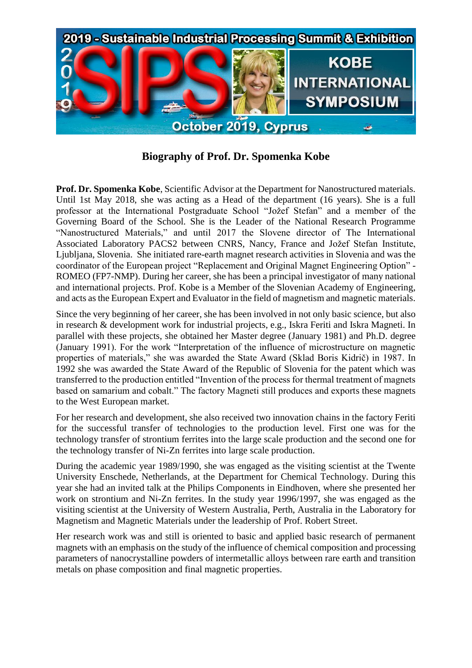

**Biography of Prof. Dr. Spomenka Kobe**

**Prof. Dr. Spomenka Kobe**, Scientific Advisor at the Department for Nanostructured materials. Until 1st May 2018, she was acting as a Head of the department (16 years). She is a full professor at the International Postgraduate School "Jožef Stefan" and a member of the Governing Board of the School. She is the Leader of the National Research Programme "Nanostructured Materials," and until 2017 the Slovene director of The International Associated Laboratory PACS2 between CNRS, Nancy, France and Jožef Stefan Institute, Ljubljana, Slovenia. She initiated rare-earth magnet research activities in Slovenia and was the coordinator of the European project "Replacement and Original Magnet Engineering Option" - ROMEO (FP7-NMP). During her career, she has been a principal investigator of many national and international projects. Prof. Kobe is a Member of the Slovenian Academy of Engineering, and acts as the European Expert and Evaluator in the field of magnetism and magnetic materials.

Since the very beginning of her career, she has been involved in not only basic science, but also in research & development work for industrial projects, e.g., Iskra Feriti and Iskra Magneti. In parallel with these projects, she obtained her Master degree (January 1981) and Ph.D. degree (January 1991). For the work "Interpretation of the influence of microstructure on magnetic properties of materials," she was awarded the State Award (Sklad Boris Kidrič) in 1987. In 1992 she was awarded the State Award of the Republic of Slovenia for the patent which was transferred to the production entitled "Invention of the process for thermal treatment of magnets based on samarium and cobalt." The factory Magneti still produces and exports these magnets to the West European market.

For her research and development, she also received two innovation chains in the factory Feriti for the successful transfer of technologies to the production level. First one was for the technology transfer of strontium ferrites into the large scale production and the second one for the technology transfer of Ni-Zn ferrites into large scale production.

During the academic year 1989/1990, she was engaged as the visiting scientist at the Twente University Enschede, Netherlands, at the Department for Chemical Technology. During this year she had an invited talk at the Philips Components in Eindhoven, where she presented her work on strontium and Ni-Zn ferrites. In the study year 1996/1997, she was engaged as the visiting scientist at the University of Western Australia, Perth, Australia in the Laboratory for Magnetism and Magnetic Materials under the leadership of Prof. Robert Street.

Her research work was and still is oriented to basic and applied basic research of permanent magnets with an emphasis on the study of the influence of chemical composition and processing parameters of nanocrystalline powders of intermetallic alloys between rare earth and transition metals on phase composition and final magnetic properties.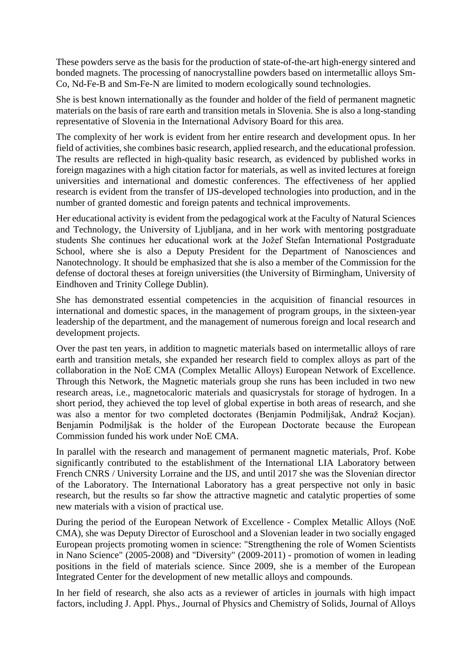These powders serve as the basis for the production of state-of-the-art high-energy sintered and bonded magnets. The processing of nanocrystalline powders based on intermetallic alloys Sm-Co, Nd-Fe-B and Sm-Fe-N are limited to modern ecologically sound technologies.

She is best known internationally as the founder and holder of the field of permanent magnetic materials on the basis of rare earth and transition metals in Slovenia. She is also a long-standing representative of Slovenia in the International Advisory Board for this area.

The complexity of her work is evident from her entire research and development opus. In her field of activities, she combines basic research, applied research, and the educational profession. The results are reflected in high-quality basic research, as evidenced by published works in foreign magazines with a high citation factor for materials, as well as invited lectures at foreign universities and international and domestic conferences. The effectiveness of her applied research is evident from the transfer of IJS-developed technologies into production, and in the number of granted domestic and foreign patents and technical improvements.

Her educational activity is evident from the pedagogical work at the Faculty of Natural Sciences and Technology, the University of Ljubljana, and in her work with mentoring postgraduate students She continues her educational work at the Jožef Stefan International Postgraduate School, where she is also a Deputy President for the Department of Nanosciences and Nanotechnology. It should be emphasized that she is also a member of the Commission for the defense of doctoral theses at foreign universities (the University of Birmingham, University of Eindhoven and Trinity College Dublin).

She has demonstrated essential competencies in the acquisition of financial resources in international and domestic spaces, in the management of program groups, in the sixteen-year leadership of the department, and the management of numerous foreign and local research and development projects.

Over the past ten years, in addition to magnetic materials based on intermetallic alloys of rare earth and transition metals, she expanded her research field to complex alloys as part of the collaboration in the NoE CMA (Complex Metallic Alloys) European Network of Excellence. Through this Network, the Magnetic materials group she runs has been included in two new research areas, i.e., magnetocaloric materials and quasicrystals for storage of hydrogen. In a short period, they achieved the top level of global expertise in both areas of research, and she was also a mentor for two completed doctorates (Benjamin Podmiljšak, Andraž Kocjan). Benjamin Podmiljšak is the holder of the European Doctorate because the European Commission funded his work under NoE CMA.

In parallel with the research and management of permanent magnetic materials, Prof. Kobe significantly contributed to the establishment of the International LIA Laboratory between French CNRS / University Lorraine and the IJS, and until 2017 she was the Slovenian director of the Laboratory. The International Laboratory has a great perspective not only in basic research, but the results so far show the attractive magnetic and catalytic properties of some new materials with a vision of practical use.

During the period of the European Network of Excellence - Complex Metallic Alloys (NoE CMA), she was Deputy Director of Euroschool and a Slovenian leader in two socially engaged European projects promoting women in science: "Strengthening the role of Women Scientists in Nano Science" (2005-2008) and "Diversity" (2009-2011) - promotion of women in leading positions in the field of materials science. Since 2009, she is a member of the European Integrated Center for the development of new metallic alloys and compounds.

In her field of research, she also acts as a reviewer of articles in journals with high impact factors, including J. Appl. Phys., Journal of Physics and Chemistry of Solids, Journal of Alloys